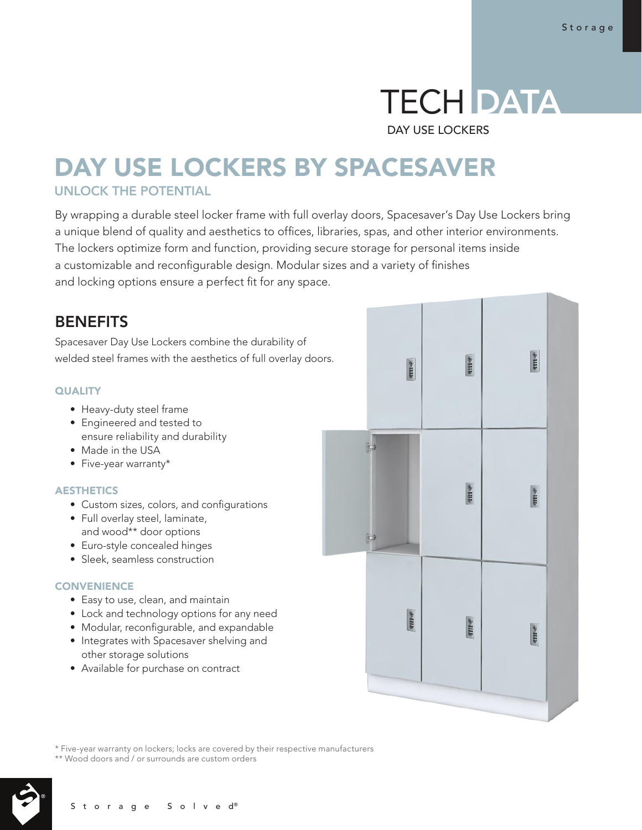# TECH DATA

DAY USE LOCKERS

# DAY USE LOCKERS BY SPACESAVER UNLOCK THE POTENTIAL

By wrapping a durable steel locker frame with full overlay doors, Spacesaver's Day Use Lockers bring a unique blend of quality and aesthetics to offices, libraries, spas, and other interior environments. The lockers optimize form and function, providing secure storage for personal items inside a customizable and reconfigurable design. Modular sizes and a variety of finishes and locking options ensure a perfect fit for any space.

# **BENEFITS**

Spacesaver Day Use Lockers combine the durability of welded steel frames with the aesthetics of full overlay doors.

## **QUALITY**

- Heavy-duty steel frame
- Engineered and tested to ensure reliability and durability
- Made in the USA
- Five-year warranty\*

## AESTHETICS

- Custom sizes, colors, and configurations
- Full overlay steel, laminate, and wood\*\* door options
- Euro-style concealed hinges
- Sleek, seamless construction

## **CONVENIENCE**

- Easy to use, clean, and maintain
- Lock and technology options for any need
- Modular, reconfigurable, and expandable
- Integrates with Spacesaver shelving and other storage solutions
- Available for purchase on contract



\* Five-year warranty on lockers; locks are covered by their respective manufacturers

\*\* Wood doors and / or surrounds are custom orders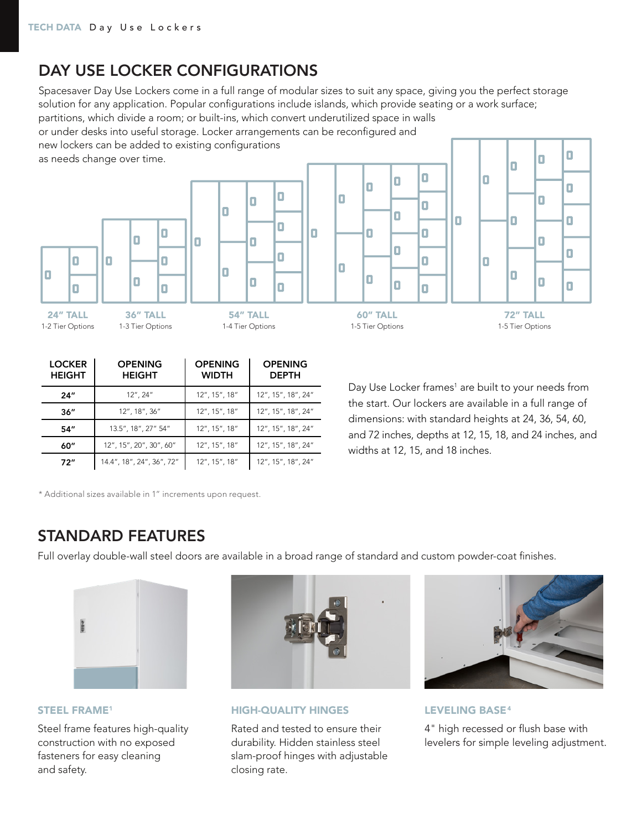# DAY USE LOCKER CONFIGURATIONS

Spacesaver Day Use Lockers come in a full range of modular sizes to suit any space, giving you the perfect storage solution for any application. Popular configurations include islands, which provide seating or a work surface;

Ω

Ω

П

Ō

П

partitions, which divide a room; or built-ins, which convert underutilized space in walls

or under desks into useful storage. Locker arrangements can be reconfigured and new lockers can be added to existing configurations

 $\Box$ 

Ω

as needs change over time.

1-2 Tier Options



36" TALL 1-3 Tier Options

54" TALL 1-4 Tier Options

П

П

П

|            | O | ш | ľ |  |
|------------|---|---|---|--|
| $\Box$     |   | O |   |  |
|            |   |   | I |  |
|            | O | ۵ | I |  |
| TA L<br>a. |   |   |   |  |

 $\Box$ 

 $\Box$ 

 $\Box$ 

 $\Box$ 

 $\Box$ 

 $\Box$ 

60" TALL 1-5 Tier Options

72" TALL 1-5 Tier Options  $\Box$ 

П

 $\Box$ 

 $\Box$ 

 $\Box$ 

Π

П

П

Ō

 $\Box$ 

 $\Box$ 

 $\Box$ 

Π

 $\Box$ 

| <b>LOCKER</b><br><b>HEIGHT</b> | <b>OPENING</b><br><b>HEIGHT</b> | <b>OPENING</b><br><b>WIDTH</b> | <b>OPENING</b><br><b>DEPTH</b> |
|--------------------------------|---------------------------------|--------------------------------|--------------------------------|
| 24"                            | 12", 24"                        | 12", 15", 18"                  | 12", 15", 18", 24"             |
| 36''                           | 12", 18", 36"                   | 12", 15", 18"                  | 12", 15", 18", 24"             |
| 54″                            | 13.5", 18", 27" 54"             | 12", 15", 18"                  | 12", 15", 18", 24"             |
| 60"                            | 12", 15", 20", 30", 60"         | 12", 15", 18"                  | 12", 15", 18", 24"             |
| 72"                            | 14.4", 18", 24", 36", 72"       | 12", 15", 18"                  | 12", 15", 18", 24"             |

Day Use Locker frames<sup>1</sup> are built to your needs from the start. Our lockers are available in a full range of dimensions: with standard heights at 24, 36, 54, 60, and 72 inches, depths at 12, 15, 18, and 24 inches, and widths at 12, 15, and 18 inches.

\* Additional sizes available in 1" increments upon request.

# STANDARD FEATURES

Full overlay double-wall steel doors are available in a broad range of standard and custom powder-coat finishes.



## STEEL FRAME1

Steel frame features high-quality construction with no exposed fasteners for easy cleaning and safety.



HIGH-QUALITY HINGES

Rated and tested to ensure their durability. Hidden stainless steel slam-proof hinges with adjustable closing rate.



LEVELING BASE<sup>4</sup>

4" high recessed or flush base with levelers for simple leveling adjustment.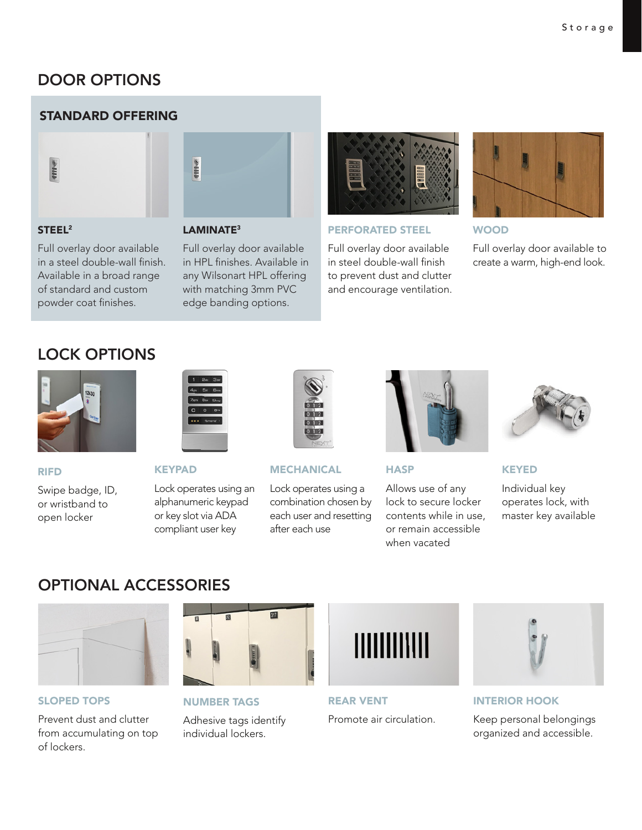# DOOR OPTIONS

# STANDARD OFFERING



## STEEL2

LAMINATE<sup>3</sup>

enne

Full overlay door available in a steel double-wall finish. Available in a broad range of standard and custom powder coat finishes.

Full overlay door available in HPL finishes. Available in any Wilsonart HPL offering with matching 3mm PVC edge banding options.



#### PERFORATED STEEL

Full overlay door available in steel double-wall finish to prevent dust and clutter and encourage ventilation.



WOOD

Full overlay door available to create a warm, high-end look.

# LOCK OPTIONS



## RIFD

Swipe badge, ID, or wristband to open locker



**KEYPAD** 

Lock operates using an alphanumeric keypad or key slot via ADA compliant user key



**MECHANICAL** 

Lock operates using a combination chosen by each user and resetting after each use



**HASP** 

Allows use of any lock to secure locker contents while in use, or remain accessible when vacated



KEYED

Individual key operates lock, with master key available

# OPTIONAL ACCESSORIES



## SLOPED TOPS

Prevent dust and clutter from accumulating on top of lockers.



# NUMBER TAGS

Adhesive tags identify individual lockers.



REAR VENT Promote air circulation.



INTERIOR HOOK

Keep personal belongings organized and accessible.